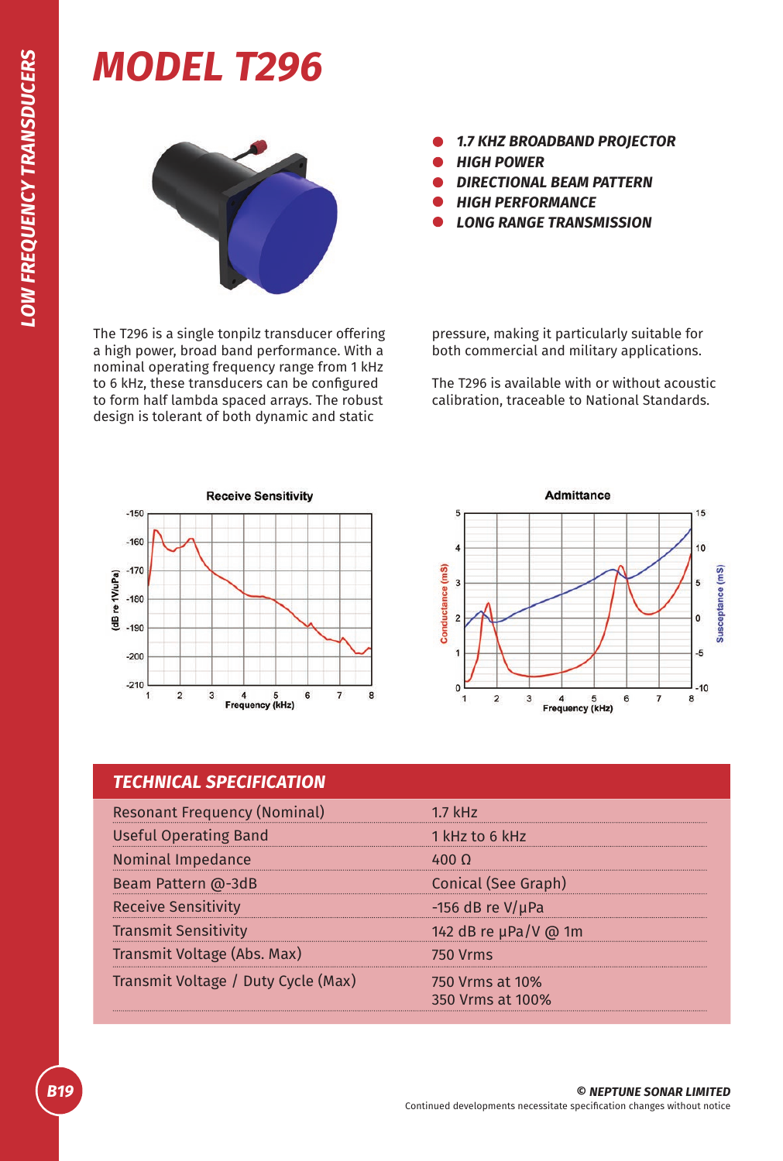## *MODEL T296*



The T296 is a single tonpilz transducer offering a high power, broad band performance. With a nominal operating frequency range from 1 kHz to 6 kHz, these transducers can be configured to form half lambda spaced arrays. The robust design is tolerant of both dynamic and static

- *1.7 KHZ BROADBAND PROJECTOR*
- *HIGH POWER*
- *DIRECTIONAL BEAM PATTERN*
- *HIGH PERFORMANCE*
- *LONG RANGE TRANSMISSION*

pressure, making it particularly suitable for both commercial and military applications.

The T296 is available with or without acoustic calibration, traceable to National Standards.





## *TECHNICAL SPECIFICATION*

| <b>Resonant Frequency (Nominal)</b> | $1.7$ kHz                           |
|-------------------------------------|-------------------------------------|
| <b>Useful Operating Band</b>        | 1 kHz to 6 kHz                      |
| Nominal Impedance                   | 400 O                               |
| Beam Pattern @-3dB                  | Conical (See Graph)                 |
| <b>Receive Sensitivity</b>          | -156 dB re $V/\mu$ Pa               |
| <b>Transmit Sensitivity</b>         | 142 dB re µPa/V @ 1m                |
| Transmit Voltage (Abs. Max)         | <b>750 Vrms</b>                     |
| Transmit Voltage / Duty Cycle (Max) | 750 Vrms at 10%<br>350 Vrms at 100% |